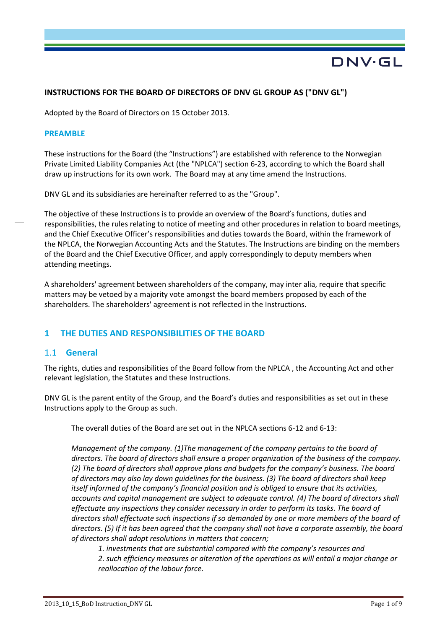# DNV·GL

## **INSTRUCTIONS FOR THE BOARD OF DIRECTORS OF DNV GL GROUP AS ("DNV GL")**

Adopted by the Board of Directors on 15 October 2013.

#### **PREAMBLE**

These instructions for the Board (the "Instructions") are established with reference to the Norwegian Private Limited Liability Companies Act (the "NPLCA") section 6-23, according to which the Board shall draw up instructions for its own work. The Board may at any time amend the Instructions.

DNV GL and its subsidiaries are hereinafter referred to as the "Group".

The objective of these Instructions is to provide an overview of the Board's functions, duties and responsibilities, the rules relating to notice of meeting and other procedures in relation to board meetings, and the Chief Executive Officer's responsibilities and duties towards the Board, within the framework of the NPLCA, the Norwegian Accounting Acts and the Statutes. The Instructions are binding on the members of the Board and the Chief Executive Officer, and apply correspondingly to deputy members when attending meetings.

A shareholders' agreement between shareholders of the company, may inter alia, require that specific matters may be vetoed by a majority vote amongst the board members proposed by each of the shareholders. The shareholders' agreement is not reflected in the Instructions.

# **1 THE DUTIES AND RESPONSIBILITIES OF THE BOARD**

### 1.1 **General**

The rights, duties and responsibilities of the Board follow from the NPLCA , the Accounting Act and other relevant legislation, the Statutes and these Instructions.

DNV GL is the parent entity of the Group, and the Board's duties and responsibilities as set out in these Instructions apply to the Group as such.

The overall duties of the Board are set out in the NPLCA sections 6-12 and 6-13:

*Management of the company. (1)The management of the company pertains to the board of directors. The board of directors shall ensure a proper organization of the business of the company. (2) The board of directors shall approve plans and budgets for the company's business. The board of directors may also lay down guidelines for the business. (3) The board of directors shall keep itself informed of the company's financial position and is obliged to ensure that its activities, accounts and capital management are subject to adequate control. (4) The board of directors shall effectuate any inspections they consider necessary in order to perform its tasks. The board of directors shall effectuate such inspections if so demanded by one or more members of the board of directors. (5) If it has been agreed that the company shall not have a corporate assembly, the board of directors shall adopt resolutions in matters that concern;*

*1. investments that are substantial compared with the company's resources and* 

*2. such efficiency measures or alteration of the operations as will entail a major change or reallocation of the labour force.*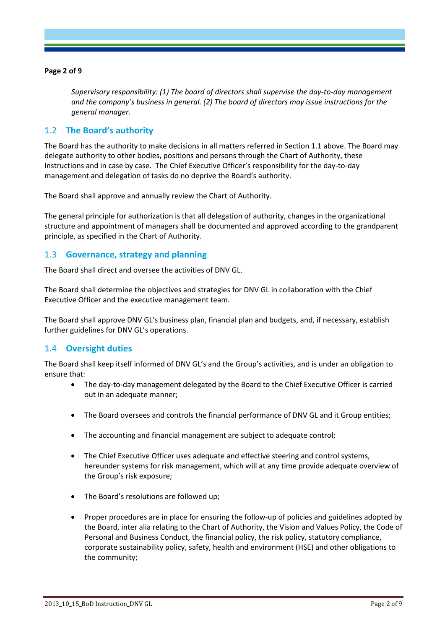#### **Page 2 of 9**

*Supervisory responsibility: (1) The board of directors shall supervise the day-to-day management and the company's business in general. (2) The board of directors may issue instructions for the general manager.*

# 1.2 **The Board's authority**

The Board has the authority to make decisions in all matters referred in Section 1.1 above. The Board may delegate authority to other bodies, positions and persons through the Chart of Authority, these Instructions and in case by case. The Chief Executive Officer's responsibility for the day-to-day management and delegation of tasks do no deprive the Board's authority.

The Board shall approve and annually review the Chart of Authority.

The general principle for authorization is that all delegation of authority, changes in the organizational structure and appointment of managers shall be documented and approved according to the grandparent principle, as specified in the Chart of Authority.

## 1.3 **Governance, strategy and planning**

The Board shall direct and oversee the activities of DNV GL.

The Board shall determine the objectives and strategies for DNV GL in collaboration with the Chief Executive Officer and the executive management team.

The Board shall approve DNV GL's business plan, financial plan and budgets, and, if necessary, establish further guidelines for DNV GL's operations.

### 1.4 **Oversight duties**

The Board shall keep itself informed of DNV GL's and the Group's activities, and is under an obligation to ensure that:

- The day-to-day management delegated by the Board to the Chief Executive Officer is carried out in an adequate manner;
- The Board oversees and controls the financial performance of DNV GL and it Group entities;
- The accounting and financial management are subject to adequate control;
- The Chief Executive Officer uses adequate and effective steering and control systems, hereunder systems for risk management, which will at any time provide adequate overview of the Group's risk exposure;
- The Board's resolutions are followed up;
- Proper procedures are in place for ensuring the follow-up of policies and guidelines adopted by the Board, inter alia relating to the Chart of Authority, the Vision and Values Policy, the Code of Personal and Business Conduct, the financial policy, the risk policy, statutory compliance, corporate sustainability policy, safety, health and environment (HSE) and other obligations to the community;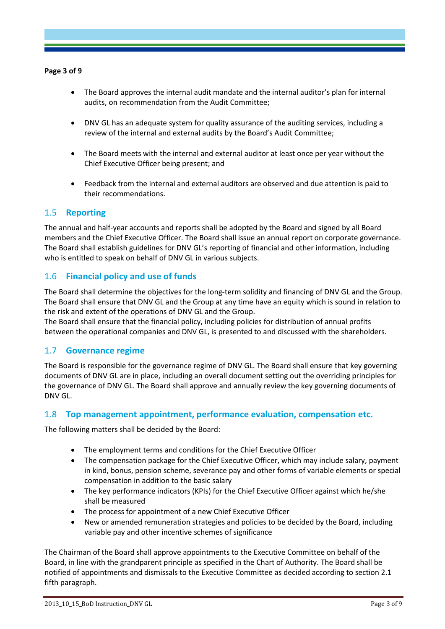#### **Page 3 of 9**

- The Board approves the internal audit mandate and the internal auditor's plan for internal audits, on recommendation from the Audit Committee;
- DNV GL has an adequate system for quality assurance of the auditing services, including a review of the internal and external audits by the Board's Audit Committee;
- The Board meets with the internal and external auditor at least once per year without the Chief Executive Officer being present; and
- Feedback from the internal and external auditors are observed and due attention is paid to their recommendations.

## 1.5 **Reporting**

The annual and half-year accounts and reports shall be adopted by the Board and signed by all Board members and the Chief Executive Officer. The Board shall issue an annual report on corporate governance. The Board shall establish guidelines for DNV GL's reporting of financial and other information, including who is entitled to speak on behalf of DNV GL in various subjects.

# 1.6 **Financial policy and use of funds**

The Board shall determine the objectives for the long-term solidity and financing of DNV GL and the Group. The Board shall ensure that DNV GL and the Group at any time have an equity which is sound in relation to the risk and extent of the operations of DNV GL and the Group.

The Board shall ensure that the financial policy, including policies for distribution of annual profits between the operational companies and DNV GL, is presented to and discussed with the shareholders.

### 1.7 **Governance regime**

The Board is responsible for the governance regime of DNV GL. The Board shall ensure that key governing documents of DNV GL are in place, including an overall document setting out the overriding principles for the governance of DNV GL. The Board shall approve and annually review the key governing documents of DNV GL.

### 1.8 **Top management appointment, performance evaluation, compensation etc.**

The following matters shall be decided by the Board:

- The employment terms and conditions for the Chief Executive Officer
- The compensation package for the Chief Executive Officer, which may include salary, payment in kind, bonus, pension scheme, severance pay and other forms of variable elements or special compensation in addition to the basic salary
- The key performance indicators (KPIs) for the Chief Executive Officer against which he/she shall be measured
- The process for appointment of a new Chief Executive Officer
- New or amended remuneration strategies and policies to be decided by the Board, including variable pay and other incentive schemes of significance

The Chairman of the Board shall approve appointments to the Executive Committee on behalf of the Board, in line with the grandparent principle as specified in the Chart of Authority. The Board shall be notified of appointments and dismissals to the Executive Committee as decided according to section 2.1 fifth paragraph.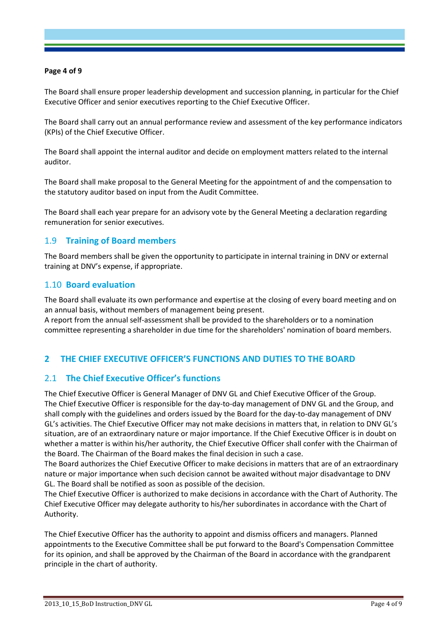#### **Page 4 of 9**

The Board shall ensure proper leadership development and succession planning, in particular for the Chief Executive Officer and senior executives reporting to the Chief Executive Officer.

The Board shall carry out an annual performance review and assessment of the key performance indicators (KPIs) of the Chief Executive Officer.

The Board shall appoint the internal auditor and decide on employment matters related to the internal auditor.

The Board shall make proposal to the General Meeting for the appointment of and the compensation to the statutory auditor based on input from the Audit Committee.

The Board shall each year prepare for an advisory vote by the General Meeting a declaration regarding remuneration for senior executives.

## 1.9 **Training of Board members**

The Board members shall be given the opportunity to participate in internal training in DNV or external training at DNV's expense, if appropriate.

### 1.10 **Board evaluation**

The Board shall evaluate its own performance and expertise at the closing of every board meeting and on an annual basis, without members of management being present.

A report from the annual self-assessment shall be provided to the shareholders or to a nomination committee representing a shareholder in due time for the shareholders' nomination of board members.

# **2 THE CHIEF EXECUTIVE OFFICER'S FUNCTIONS AND DUTIES TO THE BOARD**

# 2.1 **The Chief Executive Officer's functions**

The Chief Executive Officer is General Manager of DNV GL and Chief Executive Officer of the Group. The Chief Executive Officer is responsible for the day-to-day management of DNV GL and the Group, and shall comply with the guidelines and orders issued by the Board for the day-to-day management of DNV GL's activities. The Chief Executive Officer may not make decisions in matters that, in relation to DNV GL's situation, are of an extraordinary nature or major importance. If the Chief Executive Officer is in doubt on whether a matter is within his/her authority, the Chief Executive Officer shall confer with the Chairman of the Board. The Chairman of the Board makes the final decision in such a case.

The Board authorizes the Chief Executive Officer to make decisions in matters that are of an extraordinary nature or major importance when such decision cannot be awaited without major disadvantage to DNV GL. The Board shall be notified as soon as possible of the decision.

The Chief Executive Officer is authorized to make decisions in accordance with the Chart of Authority. The Chief Executive Officer may delegate authority to his/her subordinates in accordance with the Chart of Authority.

The Chief Executive Officer has the authority to appoint and dismiss officers and managers. Planned appointments to the Executive Committee shall be put forward to the Board's Compensation Committee for its opinion, and shall be approved by the Chairman of the Board in accordance with the grandparent principle in the chart of authority.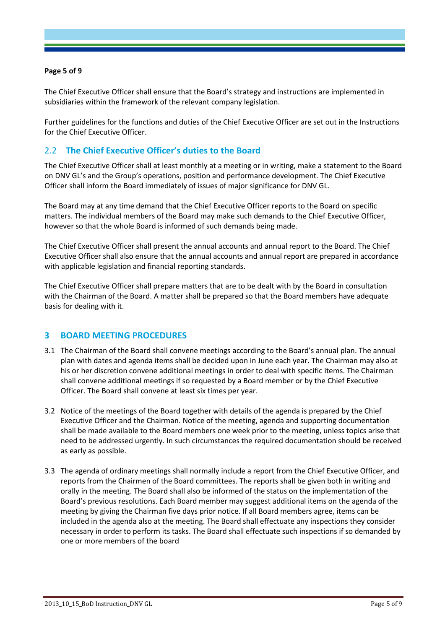#### **Page 5 of 9**

The Chief Executive Officer shall ensure that the Board's strategy and instructions are implemented in subsidiaries within the framework of the relevant company legislation.

Further guidelines for the functions and duties of the Chief Executive Officer are set out in the Instructions for the Chief Executive Officer.

# 2.2 **The Chief Executive Officer's duties to the Board**

The Chief Executive Officer shall at least monthly at a meeting or in writing, make a statement to the Board on DNV GL's and the Group's operations, position and performance development. The Chief Executive Officer shall inform the Board immediately of issues of major significance for DNV GL.

The Board may at any time demand that the Chief Executive Officer reports to the Board on specific matters. The individual members of the Board may make such demands to the Chief Executive Officer, however so that the whole Board is informed of such demands being made.

The Chief Executive Officer shall present the annual accounts and annual report to the Board. The Chief Executive Officer shall also ensure that the annual accounts and annual report are prepared in accordance with applicable legislation and financial reporting standards.

The Chief Executive Officer shall prepare matters that are to be dealt with by the Board in consultation with the Chairman of the Board. A matter shall be prepared so that the Board members have adequate basis for dealing with it.

# **3 BOARD MEETING PROCEDURES**

- 3.1 The Chairman of the Board shall convene meetings according to the Board's annual plan. The annual plan with dates and agenda items shall be decided upon in June each year. The Chairman may also at his or her discretion convene additional meetings in order to deal with specific items. The Chairman shall convene additional meetings if so requested by a Board member or by the Chief Executive Officer. The Board shall convene at least six times per year.
- 3.2 Notice of the meetings of the Board together with details of the agenda is prepared by the Chief Executive Officer and the Chairman. Notice of the meeting, agenda and supporting documentation shall be made available to the Board members one week prior to the meeting, unless topics arise that need to be addressed urgently. In such circumstances the required documentation should be received as early as possible.
- 3.3 The agenda of ordinary meetings shall normally include a report from the Chief Executive Officer, and reports from the Chairmen of the Board committees. The reports shall be given both in writing and orally in the meeting. The Board shall also be informed of the status on the implementation of the Board's previous resolutions. Each Board member may suggest additional items on the agenda of the meeting by giving the Chairman five days prior notice. If all Board members agree, items can be included in the agenda also at the meeting. The Board shall effectuate any inspections they consider necessary in order to perform its tasks. The Board shall effectuate such inspections if so demanded by one or more members of the board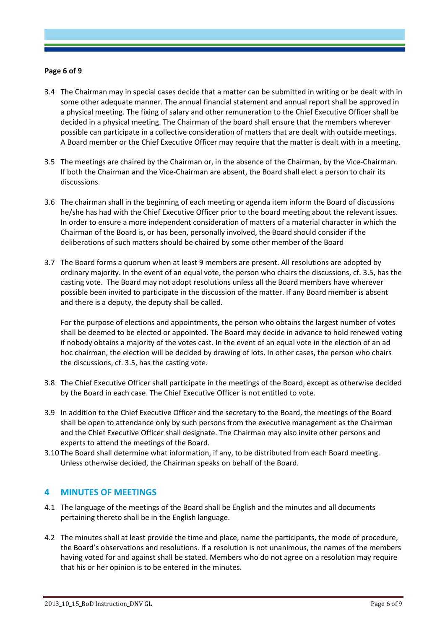#### **Page 6 of 9**

- 3.4 The Chairman may in special cases decide that a matter can be submitted in writing or be dealt with in some other adequate manner. The annual financial statement and annual report shall be approved in a physical meeting. The fixing of salary and other remuneration to the Chief Executive Officer shall be decided in a physical meeting. The Chairman of the board shall ensure that the members wherever possible can participate in a collective consideration of matters that are dealt with outside meetings. A Board member or the Chief Executive Officer may require that the matter is dealt with in a meeting.
- 3.5 The meetings are chaired by the Chairman or, in the absence of the Chairman, by the Vice-Chairman. If both the Chairman and the Vice-Chairman are absent, the Board shall elect a person to chair its discussions.
- 3.6 The chairman shall in the beginning of each meeting or agenda item inform the Board of discussions he/she has had with the Chief Executive Officer prior to the board meeting about the relevant issues. In order to ensure a more independent consideration of matters of a material character in which the Chairman of the Board is, or has been, personally involved, the Board should consider if the deliberations of such matters should be chaired by some other member of the Board
- 3.7 The Board forms a quorum when at least 9 members are present. All resolutions are adopted by ordinary majority. In the event of an equal vote, the person who chairs the discussions, cf. 3.5, has the casting vote. The Board may not adopt resolutions unless all the Board members have wherever possible been invited to participate in the discussion of the matter. If any Board member is absent and there is a deputy, the deputy shall be called.

For the purpose of elections and appointments, the person who obtains the largest number of votes shall be deemed to be elected or appointed. The Board may decide in advance to hold renewed voting if nobody obtains a majority of the votes cast. In the event of an equal vote in the election of an ad hoc chairman, the election will be decided by drawing of lots. In other cases, the person who chairs the discussions, cf. 3.5, has the casting vote.

- 3.8 The Chief Executive Officer shall participate in the meetings of the Board, except as otherwise decided by the Board in each case. The Chief Executive Officer is not entitled to vote.
- 3.9 In addition to the Chief Executive Officer and the secretary to the Board, the meetings of the Board shall be open to attendance only by such persons from the executive management as the Chairman and the Chief Executive Officer shall designate. The Chairman may also invite other persons and experts to attend the meetings of the Board.
- 3.10 The Board shall determine what information, if any, to be distributed from each Board meeting. Unless otherwise decided, the Chairman speaks on behalf of the Board.

### **4 MINUTES OF MEETINGS**

- 4.1 The language of the meetings of the Board shall be English and the minutes and all documents pertaining thereto shall be in the English language.
- 4.2 The minutes shall at least provide the time and place, name the participants, the mode of procedure, the Board's observations and resolutions. If a resolution is not unanimous, the names of the members having voted for and against shall be stated. Members who do not agree on a resolution may require that his or her opinion is to be entered in the minutes.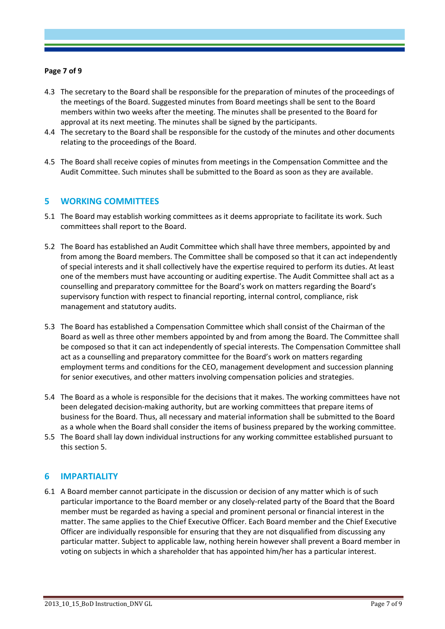#### **Page 7 of 9**

- 4.3 The secretary to the Board shall be responsible for the preparation of minutes of the proceedings of the meetings of the Board. Suggested minutes from Board meetings shall be sent to the Board members within two weeks after the meeting. The minutes shall be presented to the Board for approval at its next meeting. The minutes shall be signed by the participants.
- 4.4 The secretary to the Board shall be responsible for the custody of the minutes and other documents relating to the proceedings of the Board.
- 4.5 The Board shall receive copies of minutes from meetings in the Compensation Committee and the Audit Committee. Such minutes shall be submitted to the Board as soon as they are available.

## **5 WORKING COMMITTEES**

- 5.1 The Board may establish working committees as it deems appropriate to facilitate its work. Such committees shall report to the Board.
- 5.2 The Board has established an Audit Committee which shall have three members, appointed by and from among the Board members. The Committee shall be composed so that it can act independently of special interests and it shall collectively have the expertise required to perform its duties. At least one of the members must have accounting or auditing expertise. The Audit Committee shall act as a counselling and preparatory committee for the Board's work on matters regarding the Board's supervisory function with respect to financial reporting, internal control, compliance, risk management and statutory audits.
- 5.3 The Board has established a Compensation Committee which shall consist of the Chairman of the Board as well as three other members appointed by and from among the Board. The Committee shall be composed so that it can act independently of special interests. The Compensation Committee shall act as a counselling and preparatory committee for the Board's work on matters regarding employment terms and conditions for the CEO, management development and succession planning for senior executives, and other matters involving compensation policies and strategies.
- 5.4 The Board as a whole is responsible for the decisions that it makes. The working committees have not been delegated decision-making authority, but are working committees that prepare items of business for the Board. Thus, all necessary and material information shall be submitted to the Board as a whole when the Board shall consider the items of business prepared by the working committee.
- 5.5 The Board shall lay down individual instructions for any working committee established pursuant to this section 5.

### **6 IMPARTIALITY**

6.1 A Board member cannot participate in the discussion or decision of any matter which is of such particular importance to the Board member or any closely-related party of the Board that the Board member must be regarded as having a special and prominent personal or financial interest in the matter. The same applies to the Chief Executive Officer. Each Board member and the Chief Executive Officer are individually responsible for ensuring that they are not disqualified from discussing any particular matter. Subject to applicable law, nothing herein however shall prevent a Board member in voting on subjects in which a shareholder that has appointed him/her has a particular interest.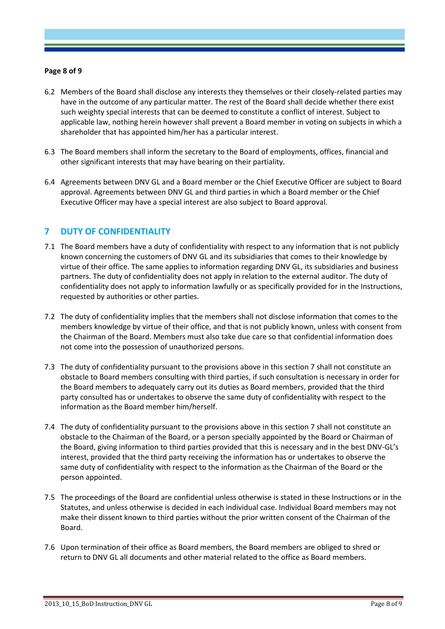#### **Page 8 of 9**

- 6.2 Members of the Board shall disclose any interests they themselves or their closely-related parties may have in the outcome of any particular matter. The rest of the Board shall decide whether there exist such weighty special interests that can be deemed to constitute a conflict of interest. Subject to applicable law, nothing herein however shall prevent a Board member in voting on subjects in which a shareholder that has appointed him/her has a particular interest.
- 6.3 The Board members shall inform the secretary to the Board of employments, offices, financial and other significant interests that may have bearing on their partiality.
- 6.4 Agreements between DNV GL and a Board member or the Chief Executive Officer are subject to Board approval. Agreements between DNV GL and third parties in which a Board member or the Chief Executive Officer may have a special interest are also subject to Board approval.

# **7 DUTY OF CONFIDENTIALITY**

- 7.1 The Board members have a duty of confidentiality with respect to any information that is not publicly known concerning the customers of DNV GL and its subsidiaries that comes to their knowledge by virtue of their office. The same applies to information regarding DNV GL, its subsidiaries and business partners. The duty of confidentiality does not apply in relation to the external auditor. The duty of confidentiality does not apply to information lawfully or as specifically provided for in the Instructions, requested by authorities or other parties.
- 7.2 The duty of confidentiality implies that the members shall not disclose information that comes to the members knowledge by virtue of their office, and that is not publicly known, unless with consent from the Chairman of the Board. Members must also take due care so that confidential information does not come into the possession of unauthorized persons.
- 7.3 The duty of confidentiality pursuant to the provisions above in this section 7 shall not constitute an obstacle to Board members consulting with third parties, if such consultation is necessary in order for the Board members to adequately carry out its duties as Board members, provided that the third party consulted has or undertakes to observe the same duty of confidentiality with respect to the information as the Board member him/herself.
- 7.4 The duty of confidentiality pursuant to the provisions above in this section 7 shall not constitute an obstacle to the Chairman of the Board, or a person specially appointed by the Board or Chairman of the Board, giving information to third parties provided that this is necessary and in the best DNV-GL's interest, provided that the third party receiving the information has or undertakes to observe the same duty of confidentiality with respect to the information as the Chairman of the Board or the person appointed.
- 7.5 The proceedings of the Board are confidential unless otherwise is stated in these Instructions or in the Statutes, and unless otherwise is decided in each individual case. Individual Board members may not make their dissent known to third parties without the prior written consent of the Chairman of the Board.
- 7.6 Upon termination of their office as Board members, the Board members are obliged to shred or return to DNV GL all documents and other material related to the office as Board members.